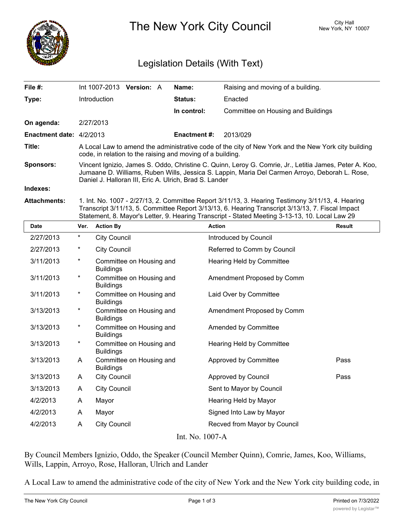

The New York City Council New York, NY 10007

## Legislation Details (With Text)

| File #:                  |                                                                                                                                                                                                                                                                                                         | Int 1007-2013       | Version: A               |  | Name:               | Raising and moving of a building.  |               |
|--------------------------|---------------------------------------------------------------------------------------------------------------------------------------------------------------------------------------------------------------------------------------------------------------------------------------------------------|---------------------|--------------------------|--|---------------------|------------------------------------|---------------|
| Type:                    |                                                                                                                                                                                                                                                                                                         | Introduction        |                          |  | <b>Status:</b>      | Enacted                            |               |
|                          |                                                                                                                                                                                                                                                                                                         |                     |                          |  | In control:         | Committee on Housing and Buildings |               |
| On agenda:               |                                                                                                                                                                                                                                                                                                         | 2/27/2013           |                          |  |                     |                                    |               |
| Enactment date: 4/2/2013 |                                                                                                                                                                                                                                                                                                         |                     |                          |  | <b>Enactment #:</b> | 2013/029                           |               |
| Title:                   | A Local Law to amend the administrative code of the city of New York and the New York city building<br>code, in relation to the raising and moving of a building.                                                                                                                                       |                     |                          |  |                     |                                    |               |
| <b>Sponsors:</b>         | Vincent Ignizio, James S. Oddo, Christine C. Quinn, Leroy G. Comrie, Jr., Letitia James, Peter A. Koo,<br>Jumaane D. Williams, Ruben Wills, Jessica S. Lappin, Maria Del Carmen Arroyo, Deborah L. Rose,<br>Daniel J. Halloran III, Eric A. Ulrich, Brad S. Lander                                      |                     |                          |  |                     |                                    |               |
| Indexes:                 |                                                                                                                                                                                                                                                                                                         |                     |                          |  |                     |                                    |               |
| <b>Attachments:</b>      | 1. Int. No. 1007 - 2/27/13, 2. Committee Report 3/11/13, 3. Hearing Testimony 3/11/13, 4. Hearing<br>Transcript 3/11/13, 5. Committee Report 3/13/13, 6. Hearing Transcript 3/13/13, 7. Fiscal Impact<br>Statement, 8. Mayor's Letter, 9. Hearing Transcript - Stated Meeting 3-13-13, 10. Local Law 29 |                     |                          |  |                     |                                    |               |
| <b>Date</b>              | Ver.                                                                                                                                                                                                                                                                                                    | <b>Action By</b>    |                          |  | <b>Action</b>       |                                    | <b>Result</b> |
| 2/27/2013                | $^\star$                                                                                                                                                                                                                                                                                                | <b>City Council</b> |                          |  |                     | Introduced by Council              |               |
| 2/27/2013                | $^\ast$                                                                                                                                                                                                                                                                                                 | <b>City Council</b> |                          |  |                     | Referred to Comm by Council        |               |
| 3/11/2013                | $^\ast$                                                                                                                                                                                                                                                                                                 | n. .:L.             | Committee on Housing and |  |                     | Hearing Held by Committee          |               |

| <b>Date</b>     | Ver.     | <b>Action By</b>                             | <b>Action</b>                | <b>Result</b> |  |  |  |  |
|-----------------|----------|----------------------------------------------|------------------------------|---------------|--|--|--|--|
| 2/27/2013       | $^\star$ | <b>City Council</b>                          | Introduced by Council        |               |  |  |  |  |
| 2/27/2013       | $^\star$ | <b>City Council</b>                          | Referred to Comm by Council  |               |  |  |  |  |
| 3/11/2013       | $\star$  | Committee on Housing and<br><b>Buildings</b> | Hearing Held by Committee    |               |  |  |  |  |
| 3/11/2013       | $^\star$ | Committee on Housing and<br><b>Buildings</b> | Amendment Proposed by Comm   |               |  |  |  |  |
| 3/11/2013       | $^\star$ | Committee on Housing and<br><b>Buildings</b> | Laid Over by Committee       |               |  |  |  |  |
| 3/13/2013       | $\star$  | Committee on Housing and<br><b>Buildings</b> | Amendment Proposed by Comm   |               |  |  |  |  |
| 3/13/2013       | $^\star$ | Committee on Housing and<br><b>Buildings</b> | Amended by Committee         |               |  |  |  |  |
| 3/13/2013       | $^\star$ | Committee on Housing and<br><b>Buildings</b> | Hearing Held by Committee    |               |  |  |  |  |
| 3/13/2013       | A        | Committee on Housing and<br><b>Buildings</b> | Approved by Committee        | Pass          |  |  |  |  |
| 3/13/2013       | A        | <b>City Council</b>                          | Approved by Council          | Pass          |  |  |  |  |
| 3/13/2013       | A        | <b>City Council</b>                          | Sent to Mayor by Council     |               |  |  |  |  |
| 4/2/2013        | A        | Mayor                                        | Hearing Held by Mayor        |               |  |  |  |  |
| 4/2/2013        | A        | Mayor                                        | Signed Into Law by Mayor     |               |  |  |  |  |
| 4/2/2013        | A        | <b>City Council</b>                          | Recved from Mayor by Council |               |  |  |  |  |
| Int. No. 1007-A |          |                                              |                              |               |  |  |  |  |

By Council Members Ignizio, Oddo, the Speaker (Council Member Quinn), Comrie, James, Koo, Williams, Wills, Lappin, Arroyo, Rose, Halloran, Ulrich and Lander

A Local Law to amend the administrative code of the city of New York and the New York city building code, in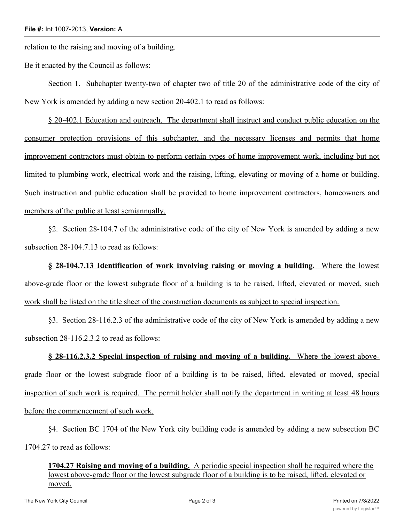relation to the raising and moving of a building.

## Be it enacted by the Council as follows:

Section 1. Subchapter twenty-two of chapter two of title 20 of the administrative code of the city of New York is amended by adding a new section 20-402.1 to read as follows:

§ 20-402.1 Education and outreach. The department shall instruct and conduct public education on the consumer protection provisions of this subchapter, and the necessary licenses and permits that home improvement contractors must obtain to perform certain types of home improvement work, including but not limited to plumbing work, electrical work and the raising, lifting, elevating or moving of a home or building. Such instruction and public education shall be provided to home improvement contractors, homeowners and members of the public at least semiannually.

§2. Section 28-104.7 of the administrative code of the city of New York is amended by adding a new subsection 28-104.7.13 to read as follows:

**§ 28-104.7.13 Identification of work involving raising or moving a building.** Where the lowest above-grade floor or the lowest subgrade floor of a building is to be raised, lifted, elevated or moved, such work shall be listed on the title sheet of the construction documents as subject to special inspection.

§3. Section 28-116.2.3 of the administrative code of the city of New York is amended by adding a new subsection 28-116.2.3.2 to read as follows:

**§ 28-116.2.3.2 Special inspection of raising and moving of a building.** Where the lowest abovegrade floor or the lowest subgrade floor of a building is to be raised, lifted, elevated or moved, special inspection of such work is required. The permit holder shall notify the department in writing at least 48 hours before the commencement of such work.

§4. Section BC 1704 of the New York city building code is amended by adding a new subsection BC 1704.27 to read as follows:

**1704.27 Raising and moving of a building.** A periodic special inspection shall be required where the lowest above-grade floor or the lowest subgrade floor of a building is to be raised, lifted, elevated or moved.